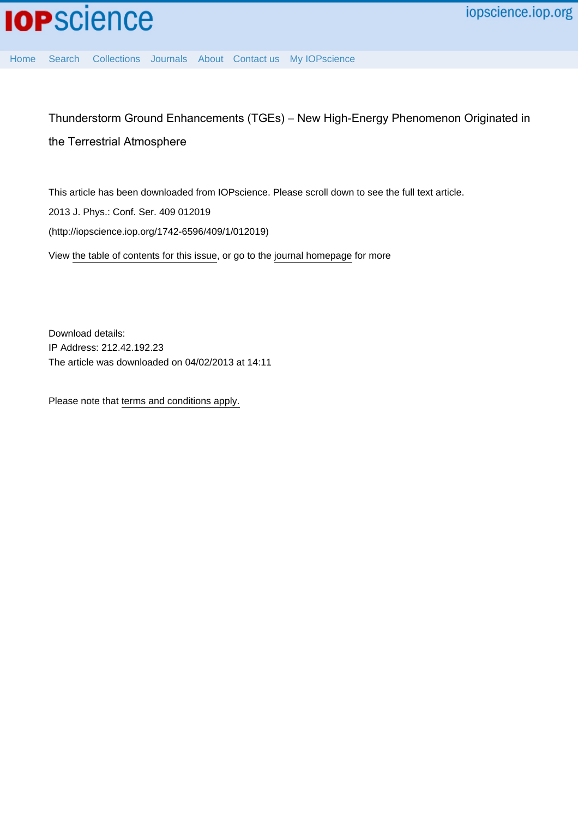

Thunderstorm Ground Enhancements (TGEs) – New High-Energy Phenomenon Originated in the Terrestrial Atmosphere

This article has been downloaded from IOPscience. Please scroll down to see the full text article. 2013 J. Phys.: Conf. Ser. 409 012019 (http://iopscience.iop.org/1742-6596/409/1/012019) View [the table of contents for this issue](http://iopscience.iop.org/1742-6596/409/1), or go to the [journal homepage](http://iopscience.iop.org/1742-6596) for more

Download details: IP Address: 212.42.192.23 The article was downloaded on 04/02/2013 at 14:11

Please note that [terms and conditions apply.](http://iopscience.iop.org/page/terms)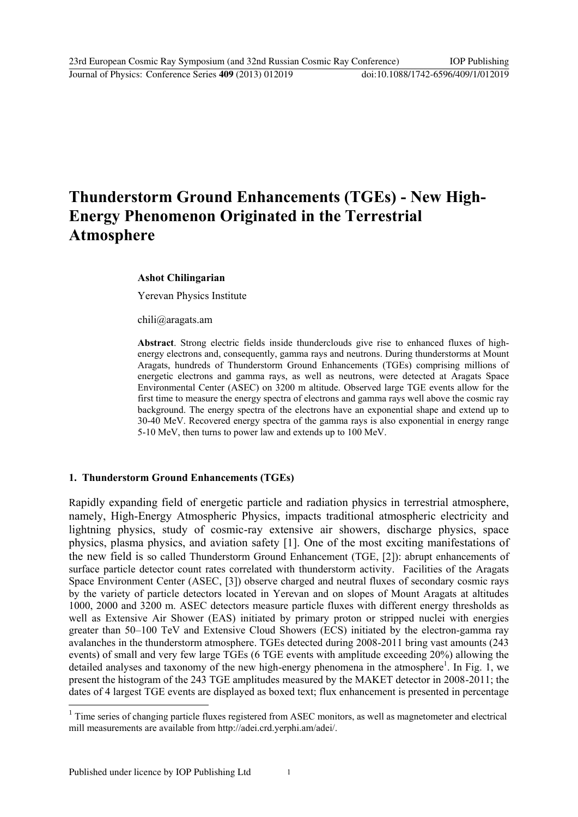# **Thunderstorm Ground Enhancements (TGEs) - New High-Energy Phenomenon Originated in the Terrestrial Atmosphere**

#### **Ashot Chilingarian**

Yerevan Physics Institute

chili@aragats.am

**Abstract**. Strong electric fields inside thunderclouds give rise to enhanced fluxes of highenergy electrons and, consequently, gamma rays and neutrons. During thunderstorms at Mount Aragats, hundreds of Thunderstorm Ground Enhancements (TGEs) comprising millions of energetic electrons and gamma rays, as well as neutrons, were detected at Aragats Space Environmental Center (ASEC) on 3200 m altitude. Observed large TGE events allow for the first time to measure the energy spectra of electrons and gamma rays well above the cosmic ray background. The energy spectra of the electrons have an exponential shape and extend up to 30-40 MeV. Recovered energy spectra of the gamma rays is also exponential in energy range 5-10 MeV, then turns to power law and extends up to 100 MeV.

### **1. Thunderstorm Ground Enhancements (TGEs)**

Rapidly expanding field of energetic particle and radiation physics in terrestrial atmosphere, namely, High-Energy Atmospheric Physics, impacts traditional atmospheric electricity and lightning physics, study of cosmic-ray extensive air showers, discharge physics, space physics, plasma physics, and aviation safety [1]. One of the most exciting manifestations of the new field is so called Thunderstorm Ground Enhancement (TGE, [2]): abrupt enhancements of surface particle detector count rates correlated with thunderstorm activity. Facilities of the Aragats Space Environment Center (ASEC, [3]) observe charged and neutral fluxes of secondary cosmic rays by the variety of particle detectors located in Yerevan and on slopes of Mount Aragats at altitudes 1000, 2000 and 3200 m. ASEC detectors measure particle fluxes with different energy thresholds as well as Extensive Air Shower (EAS) initiated by primary proton or stripped nuclei with energies greater than 50–100 TeV and Extensive Cloud Showers (ECS) initiated by the electron-gamma ray avalanches in the thunderstorm atmosphere. TGEs detected during 2008-2011 bring vast amounts (243 events) of small and very few large TGEs (6 TGE events with amplitude exceeding 20%) allowing the detailed analyses and taxonomy of the new high-energy phenomena in the atmosphere<sup>1</sup>. In Fig. 1, we present the histogram of the 243 TGE amplitudes measured by the MAKET detector in 2008-2011; the dates of 4 largest TGE events are displayed as boxed text; flux enhancement is presented in percentage

1

<sup>&</sup>lt;sup>1</sup> Time series of changing particle fluxes registered from ASEC monitors, as well as magnetometer and electrical mill measurements are available from http://adei.crd.yerphi.am/adei/.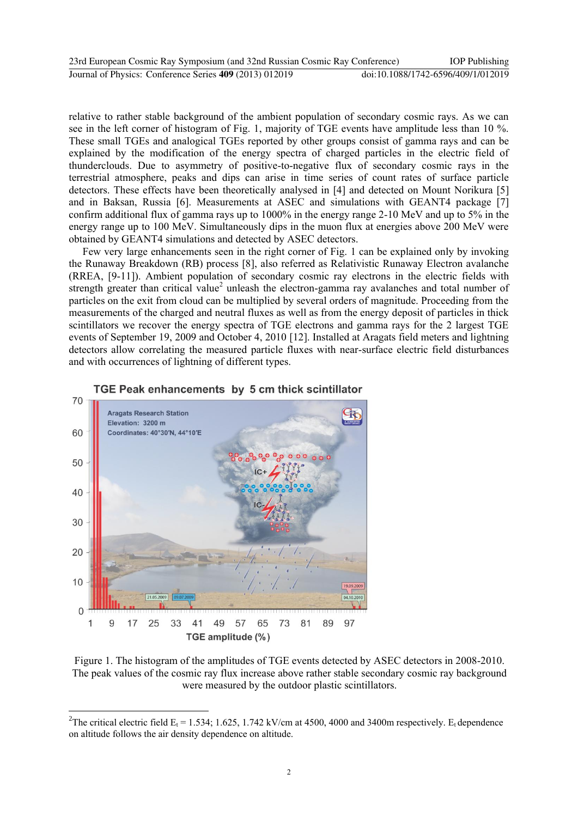| 23rd European Cosmic Ray Symposium (and 32nd Russian Cosmic Ray Conference) | <b>IOP</b> Publishing              |
|-----------------------------------------------------------------------------|------------------------------------|
| Journal of Physics: Conference Series 409 (2013) 012019                     | doi:10.1088/1742-6596/409/1/012019 |

relative to rather stable background of the ambient population of secondary cosmic rays. As we can see in the left corner of histogram of Fig. 1, majority of TGE events have amplitude less than 10 %. These small TGEs and analogical TGEs reported by other groups consist of gamma rays and can be explained by the modification of the energy spectra of charged particles in the electric field of thunderclouds. Due to asymmetry of positive-to-negative flux of secondary cosmic rays in the terrestrial atmosphere, peaks and dips can arise in time series of count rates of surface particle detectors. These effects have been theoretically analysed in [4] and detected on Mount Norikura [5] and in Baksan, Russia [6]. Measurements at ASEC and simulations with GEANT4 package [7] confirm additional flux of gamma rays up to 1000% in the energy range 2-10 MeV and up to 5% in the energy range up to 100 MeV. Simultaneously dips in the muon flux at energies above 200 MeV were obtained by GEANT4 simulations and detected by ASEC detectors.

Few very large enhancements seen in the right corner of Fig. 1 can be explained only by invoking the Runaway Breakdown (RB) process [8], also referred as Relativistic Runaway Electron avalanche (RREA, [9-11]). Ambient population of secondary cosmic ray electrons in the electric fields with strength greater than critical value<sup>2</sup> unleash the electron-gamma ray avalanches and total number of particles on the exit from cloud can be multiplied by several orders of magnitude. Proceeding from the measurements of the charged and neutral fluxes as well as from the energy deposit of particles in thick scintillators we recover the energy spectra of TGE electrons and gamma rays for the 2 largest TGE events of September 19, 2009 and October 4, 2010 [12]. Installed at Aragats field meters and lightning detectors allow correlating the measured particle fluxes with near-surface electric field disturbances and with occurrences of lightning of different types.



1



Figure 1. The histogram of the amplitudes of TGE events detected by ASEC detectors in 2008-2010. The peak values of the cosmic ray flux increase above rather stable secondary cosmic ray background were measured by the outdoor plastic scintillators.

<sup>&</sup>lt;sup>2</sup>The critical electric field  $E_t$  = 1.534; 1.625, 1.742 kV/cm at 4500, 4000 and 3400m respectively.  $E_t$  dependence on altitude follows the air density dependence on altitude.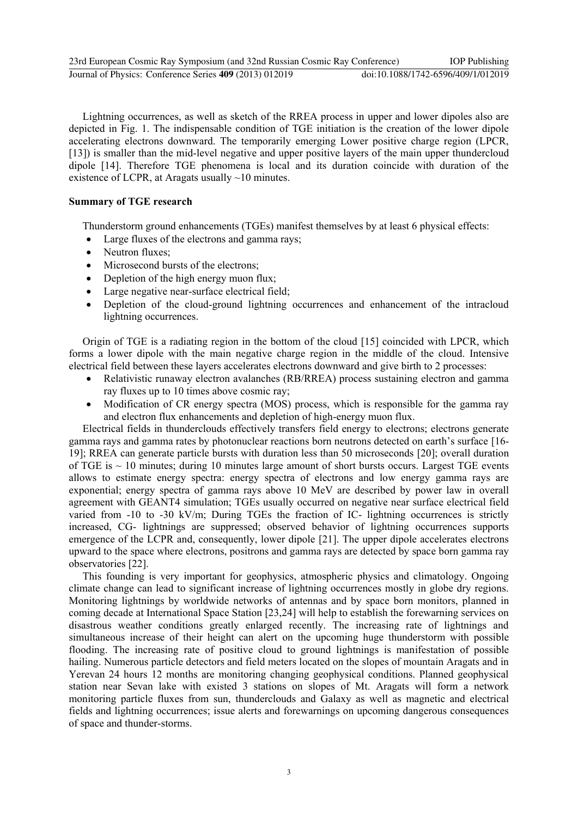Lightning occurrences, as well as sketch of the RREA process in upper and lower dipoles also are depicted in Fig. 1. The indispensable condition of TGE initiation is the creation of the lower dipole accelerating electrons downward. The temporarily emerging Lower positive charge region (LPCR, [13]) is smaller than the mid-level negative and upper positive layers of the main upper thundercloud dipole [14]. Therefore TGE phenomena is local and its duration coincide with duration of the existence of LCPR, at Aragats usually  $\sim$ 10 minutes.

## **Summary of TGE research**

Thunderstorm ground enhancements (TGEs) manifest themselves by at least 6 physical effects:

- Large fluxes of the electrons and gamma rays;
- Neutron fluxes:
- Microsecond bursts of the electrons;
- Depletion of the high energy muon flux;
- Large negative near-surface electrical field:
- Depletion of the cloud-ground lightning occurrences and enhancement of the intracloud lightning occurrences.

Origin of TGE is a radiating region in the bottom of the cloud [15] coincided with LPCR, which forms a lower dipole with the main negative charge region in the middle of the cloud. Intensive electrical field between these layers accelerates electrons downward and give birth to 2 processes:

- Relativistic runaway electron avalanches (RB/RREA) process sustaining electron and gamma ray fluxes up to 10 times above cosmic ray;
- Modification of CR energy spectra (MOS) process, which is responsible for the gamma ray and electron flux enhancements and depletion of high-energy muon flux.

Electrical fields in thunderclouds effectively transfers field energy to electrons; electrons generate gamma rays and gamma rates by photonuclear reactions born neutrons detected on earth's surface [16- 19]; RREA can generate particle bursts with duration less than 50 microseconds [20]; overall duration of TGE is  $\sim$  10 minutes; during 10 minutes large amount of short bursts occurs. Largest TGE events allows to estimate energy spectra: energy spectra of electrons and low energy gamma rays are exponential; energy spectra of gamma rays above 10 MeV are described by power law in overall agreement with GEANТ4 simulation; TGEs usually occurred on negative near surface electrical field varied from -10 to -30 kV/m; During TGEs the fraction of IC- lightning occurrences is strictly increased, CG- lightnings are suppressed; observed behavior of lightning occurrences supports emergence of the LCPR and, consequently, lower dipole [21]. The upper dipole accelerates electrons upward to the space where electrons, positrons and gamma rays are detected by space born gamma ray observatories [22].

This founding is very important for geophysics, atmospheric physics and climatology. Ongoing climate change can lead to significant increase of lightning occurrences mostly in globe dry regions. Monitoring lightnings by worldwide networks of antennas and by space born monitors, planned in coming decade at International Space Station [23,24] will help to establish the forewarning services on disastrous weather conditions greatly enlarged recently. The increasing rate of lightnings and simultaneous increase of their height can alert on the upcoming huge thunderstorm with possible flooding. The increasing rate of positive cloud to ground lightnings is manifestation of possible hailing. Numerous particle detectors and field meters located on the slopes of mountain Aragats and in Yerevan 24 hours 12 months are monitoring changing geophysical conditions. Planned geophysical station near Sevan lake with existed 3 stations on slopes of Mt. Aragats will form a network monitoring particle fluxes from sun, thunderclouds and Galaxy as well as magnetic and electrical fields and lightning occurrences; issue alerts and forewarnings on upcoming dangerous consequences of space and thunder-storms.